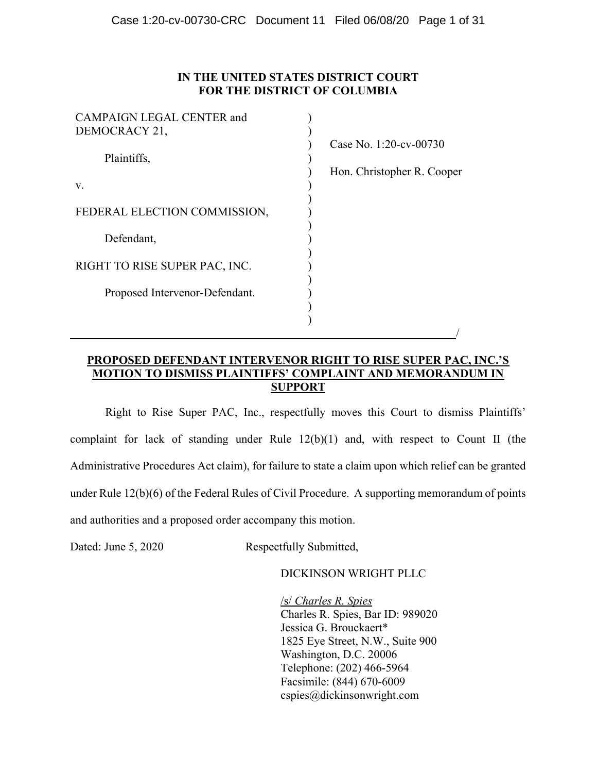## IN THE UNITED STATES DISTRICT COURT FOR THE DISTRICT OF COLUMBIA

| <b>CAMPAIGN LEGAL CENTER and</b> |                            |
|----------------------------------|----------------------------|
| DEMOCRACY 21,                    |                            |
|                                  | Case No. 1:20-cv-00730     |
| Plaintiffs,                      |                            |
|                                  | Hon. Christopher R. Cooper |
| V.                               |                            |
|                                  |                            |
| FEDERAL ELECTION COMMISSION,     |                            |
|                                  |                            |
| Defendant,                       |                            |
|                                  |                            |
| RIGHT TO RISE SUPER PAC, INC.    |                            |
|                                  |                            |
| Proposed Intervenor-Defendant.   |                            |
|                                  |                            |
|                                  |                            |
|                                  |                            |

# PROPOSED DEFENDANT INTERVENOR RIGHT TO RISE SUPER PAC, INC.'S MOTION TO DISMISS PLAINTIFFS' COMPLAINT AND MEMORANDUM IN **SUPPORT**

Right to Rise Super PAC, Inc., respectfully moves this Court to dismiss Plaintiffs' complaint for lack of standing under Rule 12(b)(1) and, with respect to Count II (the Administrative Procedures Act claim), for failure to state a claim upon which relief can be granted under Rule 12(b)(6) of the Federal Rules of Civil Procedure. A supporting memorandum of points and authorities and a proposed order accompany this motion.

Dated: June 5, 2020 Respectfully Submitted,

## DICKINSON WRIGHT PLLC

/s/ Charles R. Spies Charles R. Spies, Bar ID: 989020 Jessica G. Brouckaert\* 1825 Eye Street, N.W., Suite 900 Washington, D.C. 20006 Telephone: (202) 466-5964 Facsimile: (844) 670-6009 cspies@dickinsonwright.com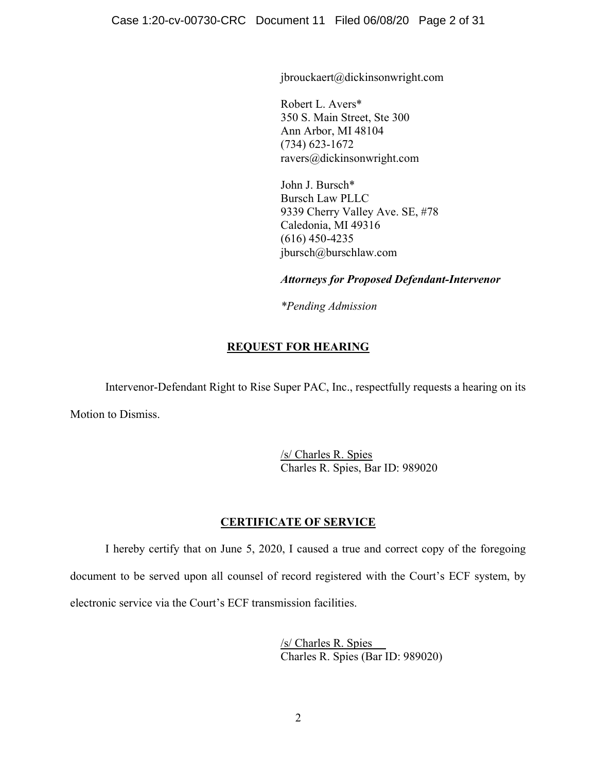jbrouckaert@dickinsonwright.com

Robert L. Avers\* 350 S. Main Street, Ste 300 Ann Arbor, MI 48104 (734) 623-1672 ravers@dickinsonwright.com

John J. Bursch\* Bursch Law PLLC 9339 Cherry Valley Ave. SE, #78 Caledonia, MI 49316 (616) 450-4235 jbursch@burschlaw.com

Attorneys for Proposed Defendant-Intervenor

\*Pending Admission

## REQUEST FOR HEARING

Intervenor-Defendant Right to Rise Super PAC, Inc., respectfully requests a hearing on its

Motion to Dismiss.

/s/ Charles R. Spies Charles R. Spies, Bar ID: 989020

## CERTIFICATE OF SERVICE

I hereby certify that on June 5, 2020, I caused a true and correct copy of the foregoing document to be served upon all counsel of record registered with the Court's ECF system, by electronic service via the Court's ECF transmission facilities.

> /s/ Charles R. Spies Charles R. Spies (Bar ID: 989020)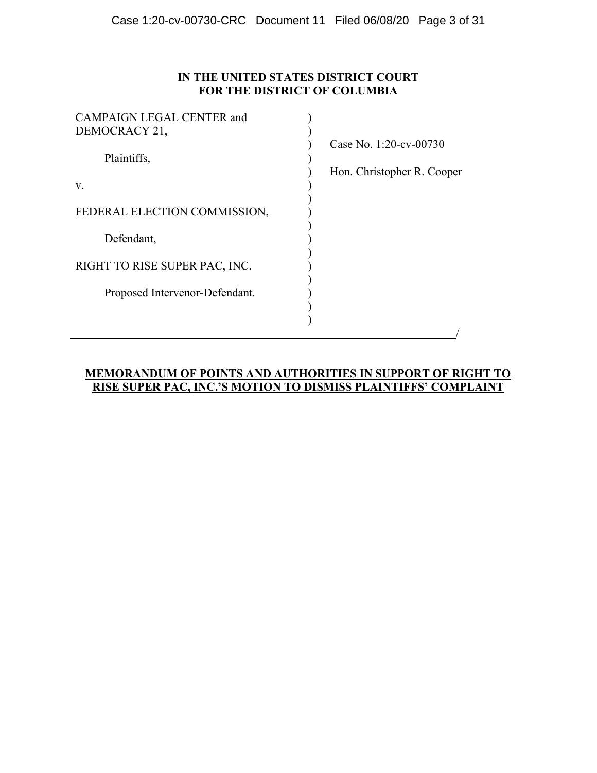# IN THE UNITED STATES DISTRICT COURT FOR THE DISTRICT OF COLUMBIA

| <b>CAMPAIGN LEGAL CENTER and</b> |                            |
|----------------------------------|----------------------------|
| DEMOCRACY 21,                    |                            |
|                                  | Case No. 1:20-cv-00730     |
| Plaintiffs,                      |                            |
|                                  | Hon. Christopher R. Cooper |
| V.                               |                            |
|                                  |                            |
| FEDERAL ELECTION COMMISSION,     |                            |
|                                  |                            |
| Defendant,                       |                            |
|                                  |                            |
| RIGHT TO RISE SUPER PAC, INC.    |                            |
|                                  |                            |
| Proposed Intervenor-Defendant.   |                            |
|                                  |                            |
|                                  |                            |
|                                  |                            |

# MEMORANDUM OF POINTS AND AUTHORITIES IN SUPPORT OF RIGHT TO RISE SUPER PAC, INC.'S MOTION TO DISMISS PLAINTIFFS' COMPLAINT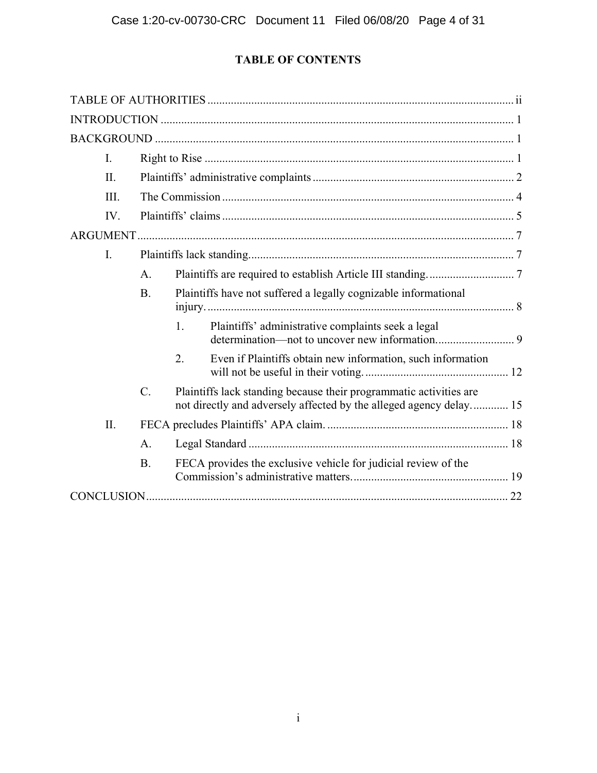# TABLE OF CONTENTS

| I.      |           |    |                                                                                                                                          |  |
|---------|-----------|----|------------------------------------------------------------------------------------------------------------------------------------------|--|
| $\Pi$ . |           |    |                                                                                                                                          |  |
| III.    |           |    |                                                                                                                                          |  |
| IV.     |           |    |                                                                                                                                          |  |
|         |           |    |                                                                                                                                          |  |
| I.      |           |    |                                                                                                                                          |  |
|         | A.        |    |                                                                                                                                          |  |
|         | <b>B.</b> |    | Plaintiffs have not suffered a legally cognizable informational                                                                          |  |
|         |           | 1. | Plaintiffs' administrative complaints seek a legal                                                                                       |  |
|         |           | 2. | Even if Plaintiffs obtain new information, such information                                                                              |  |
|         | $C$ .     |    | Plaintiffs lack standing because their programmatic activities are<br>not directly and adversely affected by the alleged agency delay 15 |  |
| II.     |           |    |                                                                                                                                          |  |
|         | A.        |    |                                                                                                                                          |  |
|         | <b>B.</b> |    | FECA provides the exclusive vehicle for judicial review of the                                                                           |  |
|         |           |    |                                                                                                                                          |  |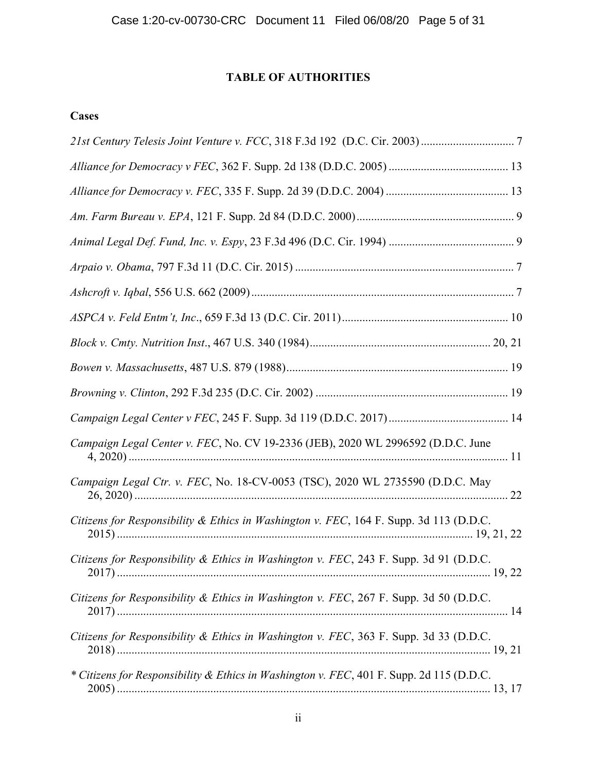# TABLE OF AUTHORITIES

# Cases

| Campaign Legal Center v. FEC, No. CV 19-2336 (JEB), 2020 WL 2996592 (D.D.C. June         |
|------------------------------------------------------------------------------------------|
| Campaign Legal Ctr. v. FEC, No. 18-CV-0053 (TSC), 2020 WL 2735590 (D.D.C. May            |
| Citizens for Responsibility & Ethics in Washington v. FEC, 164 F. Supp. 3d 113 (D.D.C.   |
| Citizens for Responsibility & Ethics in Washington v. FEC, 243 F. Supp. 3d 91 (D.D.C.    |
| Citizens for Responsibility & Ethics in Washington v. FEC, 267 F. Supp. 3d 50 (D.D.C.    |
| Citizens for Responsibility & Ethics in Washington v. FEC, 363 F. Supp. 3d 33 (D.D.C.    |
| * Citizens for Responsibility & Ethics in Washington v. FEC, 401 F. Supp. 2d 115 (D.D.C. |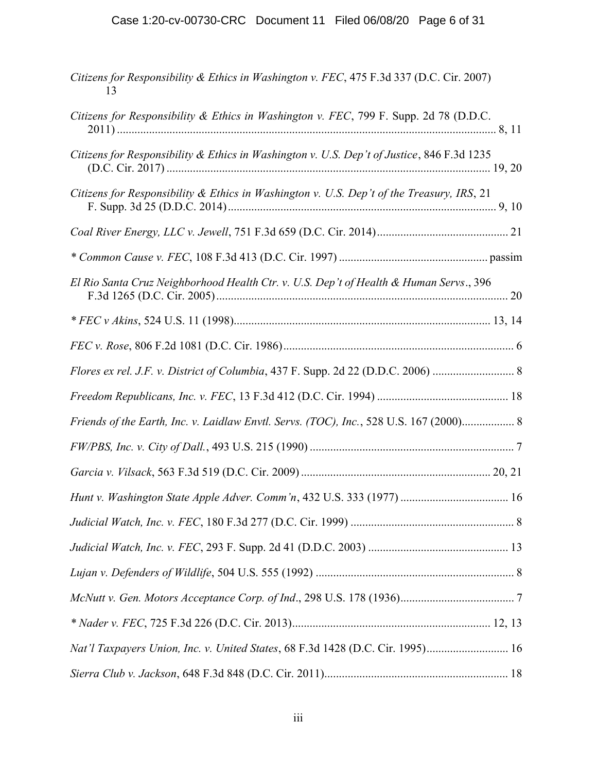# Case 1:20-cv-00730-CRC Document 11 Filed 06/08/20 Page 6 of 31

| Citizens for Responsibility & Ethics in Washington v. FEC, 475 F.3d 337 (D.C. Cir. 2007)<br>13 |
|------------------------------------------------------------------------------------------------|
| Citizens for Responsibility & Ethics in Washington v. FEC, 799 F. Supp. 2d 78 (D.D.C.          |
| Citizens for Responsibility & Ethics in Washington v. U.S. Dep't of Justice, 846 F.3d 1235     |
| Citizens for Responsibility & Ethics in Washington v. U.S. Dep't of the Treasury, IRS, 21      |
|                                                                                                |
|                                                                                                |
| El Rio Santa Cruz Neighborhood Health Ctr. v. U.S. Dep't of Health & Human Servs., 396         |
|                                                                                                |
|                                                                                                |
| Flores ex rel. J.F. v. District of Columbia, 437 F. Supp. 2d 22 (D.D.C. 2006)                  |
|                                                                                                |
| Friends of the Earth, Inc. v. Laidlaw Envtl. Servs. (TOC), Inc., 528 U.S. 167 (2000) 8         |
|                                                                                                |
|                                                                                                |
|                                                                                                |
|                                                                                                |
|                                                                                                |
|                                                                                                |
|                                                                                                |
|                                                                                                |
| Nat'l Taxpayers Union, Inc. v. United States, 68 F.3d 1428 (D.C. Cir. 1995) 16                 |
|                                                                                                |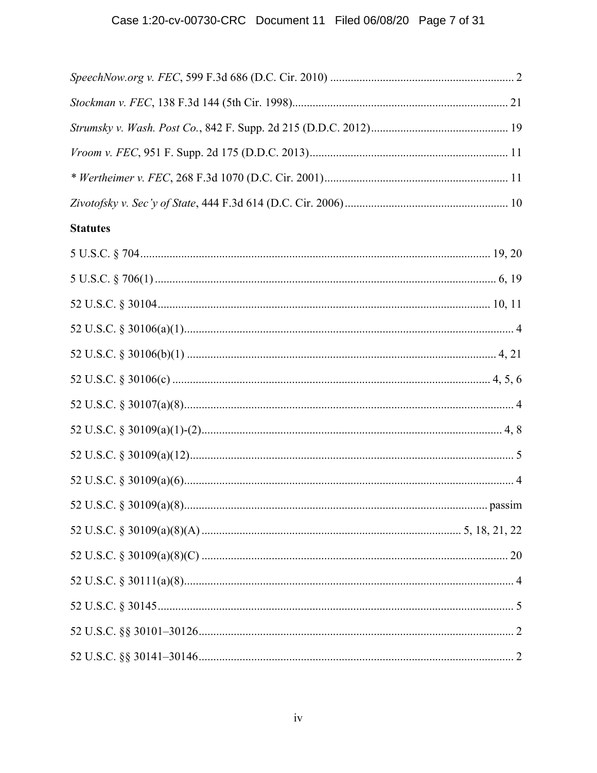# Case 1:20-cv-00730-CRC Document 11 Filed 06/08/20 Page 7 of 31

| <b>Statutes</b> |
|-----------------|
|                 |
|                 |
|                 |
|                 |
|                 |
|                 |
|                 |
|                 |
|                 |
|                 |
|                 |
|                 |
|                 |
|                 |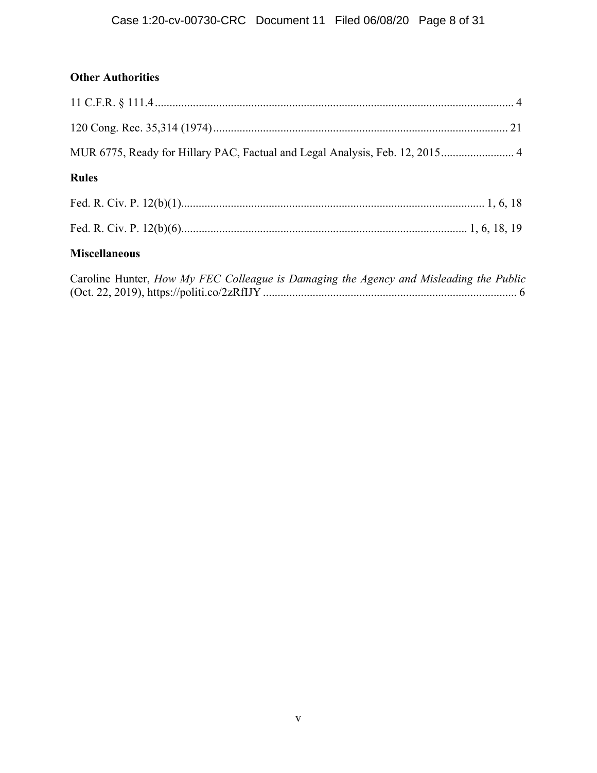# **Other Authorities**

| MUR 6775, Ready for Hillary PAC, Factual and Legal Analysis, Feb. 12, 2015 4            |  |
|-----------------------------------------------------------------------------------------|--|
| <b>Rules</b>                                                                            |  |
|                                                                                         |  |
|                                                                                         |  |
| <b>Miscellaneous</b>                                                                    |  |
| Concline Hypton, How Mr. EEC Collegeus is Damaging the Loguen and Micleading the Dublic |  |

| Caroline Hunter, How My FEC Colleague is Damaging the Agency and Misleading the Public |  |
|----------------------------------------------------------------------------------------|--|
|                                                                                        |  |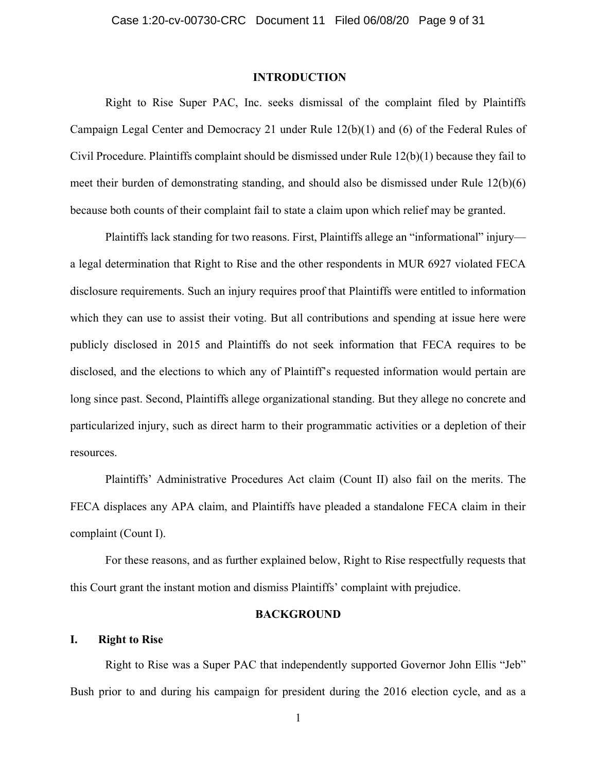## INTRODUCTION

Right to Rise Super PAC, Inc. seeks dismissal of the complaint filed by Plaintiffs Campaign Legal Center and Democracy 21 under Rule 12(b)(1) and (6) of the Federal Rules of Civil Procedure. Plaintiffs complaint should be dismissed under Rule 12(b)(1) because they fail to meet their burden of demonstrating standing, and should also be dismissed under Rule 12(b)(6) because both counts of their complaint fail to state a claim upon which relief may be granted.

Plaintiffs lack standing for two reasons. First, Plaintiffs allege an "informational" injury a legal determination that Right to Rise and the other respondents in MUR 6927 violated FECA disclosure requirements. Such an injury requires proof that Plaintiffs were entitled to information which they can use to assist their voting. But all contributions and spending at issue here were publicly disclosed in 2015 and Plaintiffs do not seek information that FECA requires to be disclosed, and the elections to which any of Plaintiff's requested information would pertain are long since past. Second, Plaintiffs allege organizational standing. But they allege no concrete and particularized injury, such as direct harm to their programmatic activities or a depletion of their resources.

Plaintiffs' Administrative Procedures Act claim (Count II) also fail on the merits. The FECA displaces any APA claim, and Plaintiffs have pleaded a standalone FECA claim in their complaint (Count I).

For these reasons, and as further explained below, Right to Rise respectfully requests that this Court grant the instant motion and dismiss Plaintiffs' complaint with prejudice.

## **BACKGROUND**

## I. Right to Rise

Right to Rise was a Super PAC that independently supported Governor John Ellis "Jeb" Bush prior to and during his campaign for president during the 2016 election cycle, and as a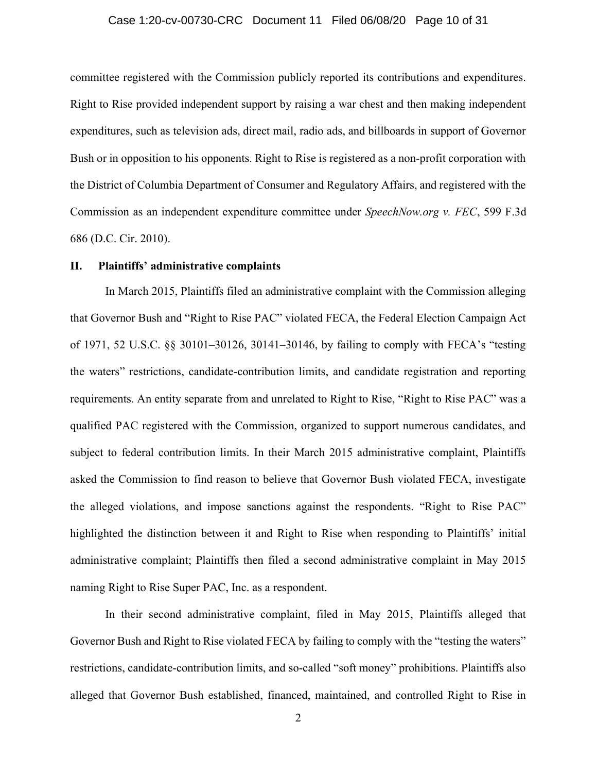## Case 1:20-cv-00730-CRC Document 11 Filed 06/08/20 Page 10 of 31

committee registered with the Commission publicly reported its contributions and expenditures. Right to Rise provided independent support by raising a war chest and then making independent expenditures, such as television ads, direct mail, radio ads, and billboards in support of Governor Bush or in opposition to his opponents. Right to Rise is registered as a non-profit corporation with the District of Columbia Department of Consumer and Regulatory Affairs, and registered with the Commission as an independent expenditure committee under *SpeechNow.org v. FEC*, 599 F.3d 686 (D.C. Cir. 2010).

## II. Plaintiffs' administrative complaints

In March 2015, Plaintiffs filed an administrative complaint with the Commission alleging that Governor Bush and "Right to Rise PAC" violated FECA, the Federal Election Campaign Act of 1971, 52 U.S.C. §§ 30101–30126, 30141–30146, by failing to comply with FECA's "testing the waters" restrictions, candidate-contribution limits, and candidate registration and reporting requirements. An entity separate from and unrelated to Right to Rise, "Right to Rise PAC" was a qualified PAC registered with the Commission, organized to support numerous candidates, and subject to federal contribution limits. In their March 2015 administrative complaint, Plaintiffs asked the Commission to find reason to believe that Governor Bush violated FECA, investigate the alleged violations, and impose sanctions against the respondents. "Right to Rise PAC" highlighted the distinction between it and Right to Rise when responding to Plaintiffs' initial administrative complaint; Plaintiffs then filed a second administrative complaint in May 2015 naming Right to Rise Super PAC, Inc. as a respondent.

In their second administrative complaint, filed in May 2015, Plaintiffs alleged that Governor Bush and Right to Rise violated FECA by failing to comply with the "testing the waters" restrictions, candidate-contribution limits, and so-called "soft money" prohibitions. Plaintiffs also alleged that Governor Bush established, financed, maintained, and controlled Right to Rise in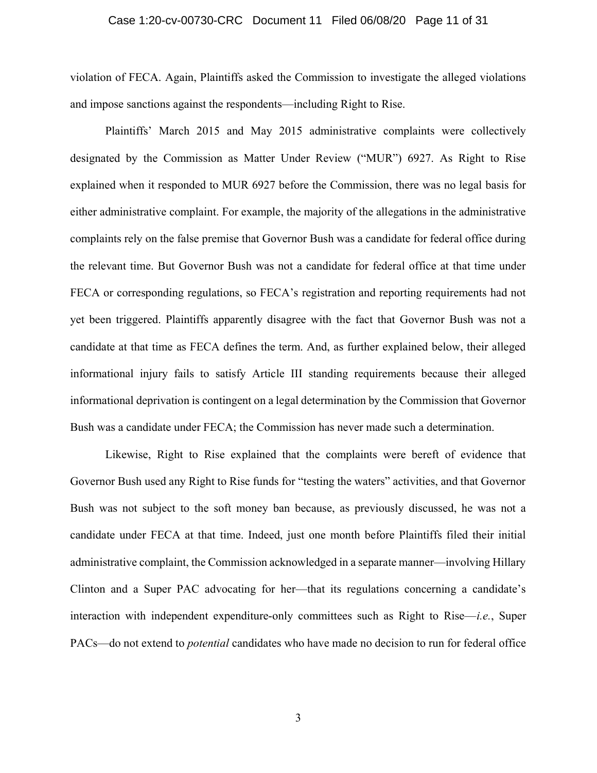## Case 1:20-cv-00730-CRC Document 11 Filed 06/08/20 Page 11 of 31

violation of FECA. Again, Plaintiffs asked the Commission to investigate the alleged violations and impose sanctions against the respondents—including Right to Rise.

Plaintiffs' March 2015 and May 2015 administrative complaints were collectively designated by the Commission as Matter Under Review ("MUR") 6927. As Right to Rise explained when it responded to MUR 6927 before the Commission, there was no legal basis for either administrative complaint. For example, the majority of the allegations in the administrative complaints rely on the false premise that Governor Bush was a candidate for federal office during the relevant time. But Governor Bush was not a candidate for federal office at that time under FECA or corresponding regulations, so FECA's registration and reporting requirements had not yet been triggered. Plaintiffs apparently disagree with the fact that Governor Bush was not a candidate at that time as FECA defines the term. And, as further explained below, their alleged informational injury fails to satisfy Article III standing requirements because their alleged informational deprivation is contingent on a legal determination by the Commission that Governor Bush was a candidate under FECA; the Commission has never made such a determination.

Likewise, Right to Rise explained that the complaints were bereft of evidence that Governor Bush used any Right to Rise funds for "testing the waters" activities, and that Governor Bush was not subject to the soft money ban because, as previously discussed, he was not a candidate under FECA at that time. Indeed, just one month before Plaintiffs filed their initial administrative complaint, the Commission acknowledged in a separate manner—involving Hillary Clinton and a Super PAC advocating for her—that its regulations concerning a candidate's interaction with independent expenditure-only committees such as Right to Rise—i.e., Super PACs—do not extend to potential candidates who have made no decision to run for federal office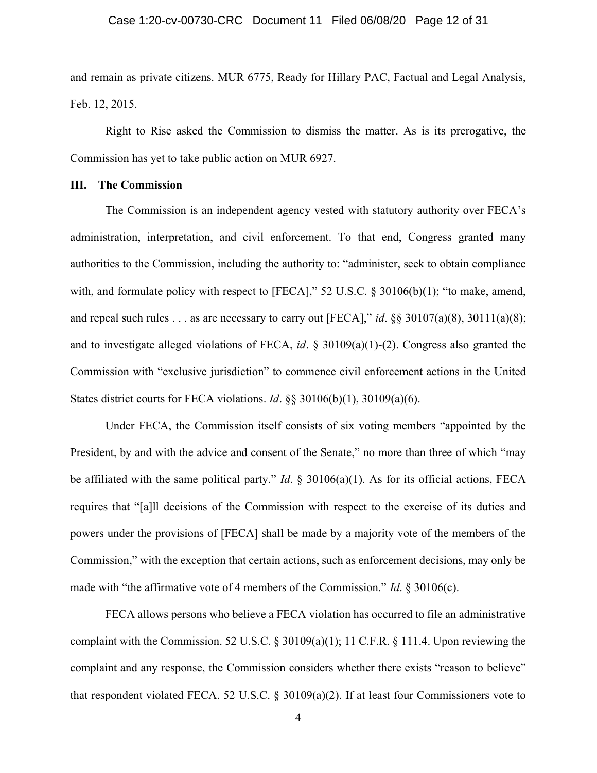## Case 1:20-cv-00730-CRC Document 11 Filed 06/08/20 Page 12 of 31

and remain as private citizens. MUR 6775, Ready for Hillary PAC, Factual and Legal Analysis, Feb. 12, 2015.

Right to Rise asked the Commission to dismiss the matter. As is its prerogative, the Commission has yet to take public action on MUR 6927.

## III. The Commission

The Commission is an independent agency vested with statutory authority over FECA's administration, interpretation, and civil enforcement. To that end, Congress granted many authorities to the Commission, including the authority to: "administer, seek to obtain compliance with, and formulate policy with respect to [FECA]," 52 U.S.C. § 30106(b)(1); "to make, amend, and repeal such rules . . . as are necessary to carry out [FECA]," id.  $\S$ § 30107(a)(8), 30111(a)(8); and to investigate alleged violations of FECA, id.  $\S$  30109(a)(1)-(2). Congress also granted the Commission with "exclusive jurisdiction" to commence civil enforcement actions in the United States district courts for FECA violations. Id. §§ 30106(b)(1), 30109(a)(6).

Under FECA, the Commission itself consists of six voting members "appointed by the President, by and with the advice and consent of the Senate," no more than three of which "may be affiliated with the same political party." *Id.*  $\S$  30106(a)(1). As for its official actions, FECA requires that "[a]ll decisions of the Commission with respect to the exercise of its duties and powers under the provisions of [FECA] shall be made by a majority vote of the members of the Commission," with the exception that certain actions, such as enforcement decisions, may only be made with "the affirmative vote of 4 members of the Commission." Id.  $\S 30106(c)$ .

FECA allows persons who believe a FECA violation has occurred to file an administrative complaint with the Commission. 52 U.S.C. § 30109(a)(1); 11 C.F.R. § 111.4. Upon reviewing the complaint and any response, the Commission considers whether there exists "reason to believe" that respondent violated FECA. 52 U.S.C. § 30109(a)(2). If at least four Commissioners vote to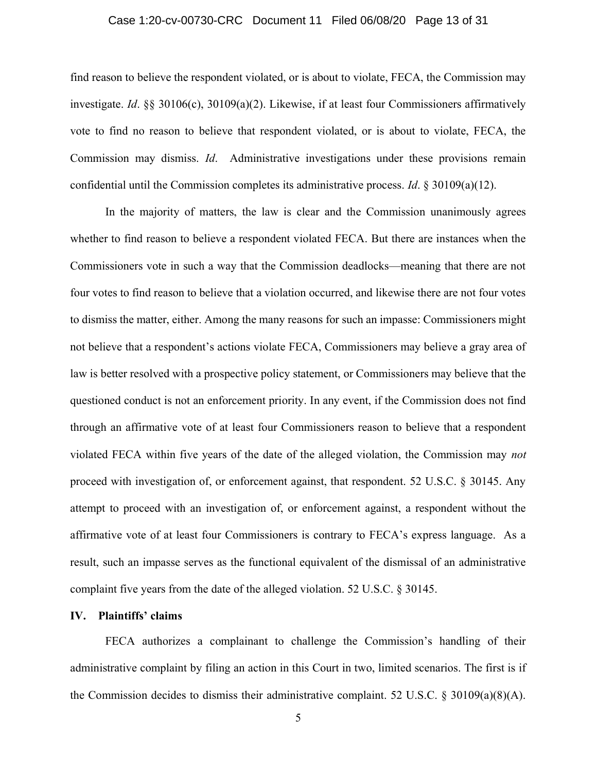## Case 1:20-cv-00730-CRC Document 11 Filed 06/08/20 Page 13 of 31

find reason to believe the respondent violated, or is about to violate, FECA, the Commission may investigate. Id. §§ 30106(c), 30109(a)(2). Likewise, if at least four Commissioners affirmatively vote to find no reason to believe that respondent violated, or is about to violate, FECA, the Commission may dismiss. Id. Administrative investigations under these provisions remain confidential until the Commission completes its administrative process. Id. § 30109(a)(12).

In the majority of matters, the law is clear and the Commission unanimously agrees whether to find reason to believe a respondent violated FECA. But there are instances when the Commissioners vote in such a way that the Commission deadlocks—meaning that there are not four votes to find reason to believe that a violation occurred, and likewise there are not four votes to dismiss the matter, either. Among the many reasons for such an impasse: Commissioners might not believe that a respondent's actions violate FECA, Commissioners may believe a gray area of law is better resolved with a prospective policy statement, or Commissioners may believe that the questioned conduct is not an enforcement priority. In any event, if the Commission does not find through an affirmative vote of at least four Commissioners reason to believe that a respondent violated FECA within five years of the date of the alleged violation, the Commission may not proceed with investigation of, or enforcement against, that respondent. 52 U.S.C. § 30145. Any attempt to proceed with an investigation of, or enforcement against, a respondent without the affirmative vote of at least four Commissioners is contrary to FECA's express language. As a result, such an impasse serves as the functional equivalent of the dismissal of an administrative complaint five years from the date of the alleged violation. 52 U.S.C. § 30145.

#### IV. Plaintiffs' claims

FECA authorizes a complainant to challenge the Commission's handling of their administrative complaint by filing an action in this Court in two, limited scenarios. The first is if the Commission decides to dismiss their administrative complaint. 52 U.S.C.  $\S 30109(a)(8)(A)$ .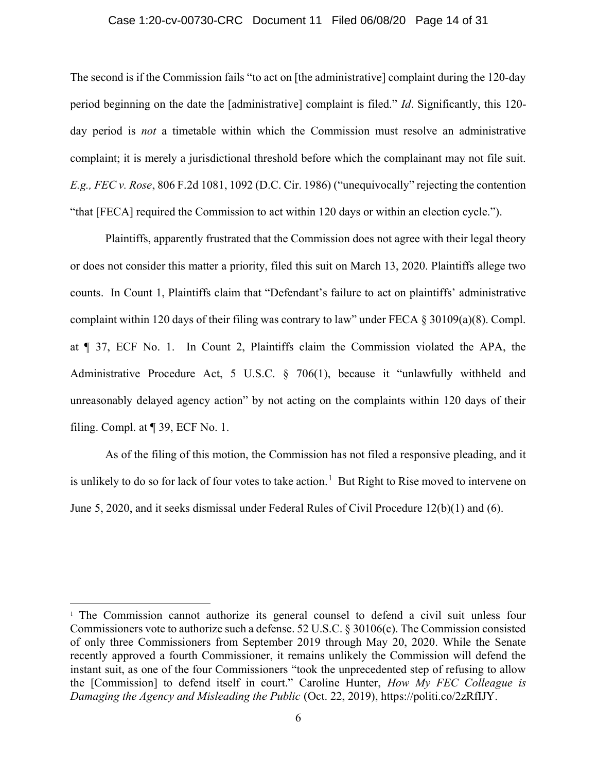#### Case 1:20-cv-00730-CRC Document 11 Filed 06/08/20 Page 14 of 31

The second is if the Commission fails "to act on [the administrative] complaint during the 120-day period beginning on the date the [administrative] complaint is filed." Id. Significantly, this 120 day period is *not* a timetable within which the Commission must resolve an administrative complaint; it is merely a jurisdictional threshold before which the complainant may not file suit. E.g., FEC v. Rose, 806 F.2d 1081, 1092 (D.C. Cir. 1986) ("unequivocally" rejecting the contention "that [FECA] required the Commission to act within 120 days or within an election cycle.").

Plaintiffs, apparently frustrated that the Commission does not agree with their legal theory or does not consider this matter a priority, filed this suit on March 13, 2020. Plaintiffs allege two counts. In Count 1, Plaintiffs claim that "Defendant's failure to act on plaintiffs' administrative complaint within 120 days of their filing was contrary to law" under FECA § 30109(a)(8). Compl. at ¶ 37, ECF No. 1. In Count 2, Plaintiffs claim the Commission violated the APA, the Administrative Procedure Act, 5 U.S.C. § 706(1), because it "unlawfully withheld and unreasonably delayed agency action" by not acting on the complaints within 120 days of their filing. Compl. at ¶ 39, ECF No. 1.

As of the filing of this motion, the Commission has not filed a responsive pleading, and it is unlikely to do so for lack of four votes to take action.<sup>1</sup> But Right to Rise moved to intervene on June 5, 2020, and it seeks dismissal under Federal Rules of Civil Procedure 12(b)(1) and (6).

<sup>&</sup>lt;sup>1</sup> The Commission cannot authorize its general counsel to defend a civil suit unless four Commissioners vote to authorize such a defense. 52 U.S.C. § 30106(c). The Commission consisted of only three Commissioners from September 2019 through May 20, 2020. While the Senate recently approved a fourth Commissioner, it remains unlikely the Commission will defend the instant suit, as one of the four Commissioners "took the unprecedented step of refusing to allow the [Commission] to defend itself in court." Caroline Hunter, How My FEC Colleague is Damaging the Agency and Misleading the Public (Oct. 22, 2019), https://politi.co/2zRfIJY.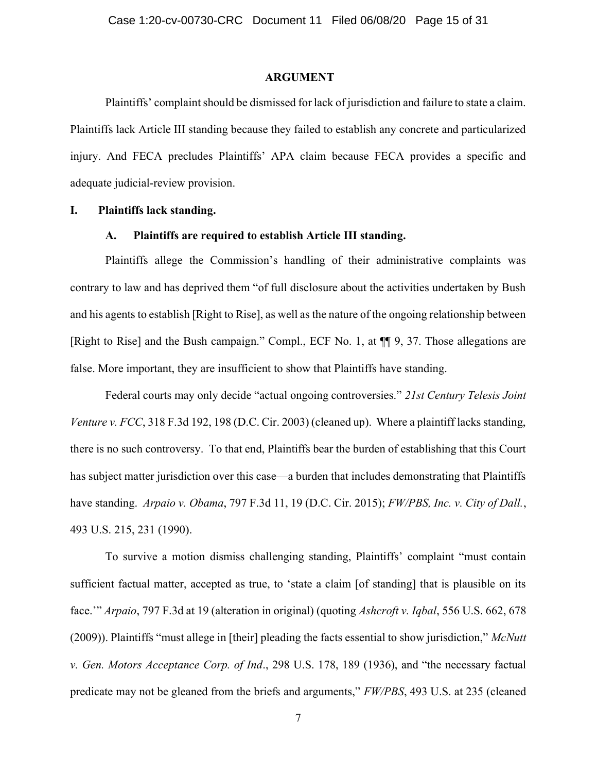## ARGUMENT

Plaintiffs' complaint should be dismissed for lack of jurisdiction and failure to state a claim. Plaintiffs lack Article III standing because they failed to establish any concrete and particularized injury. And FECA precludes Plaintiffs' APA claim because FECA provides a specific and adequate judicial-review provision.

## I. Plaintiffs lack standing.

## A. Plaintiffs are required to establish Article III standing.

Plaintiffs allege the Commission's handling of their administrative complaints was contrary to law and has deprived them "of full disclosure about the activities undertaken by Bush and his agents to establish [Right to Rise], as well as the nature of the ongoing relationship between [Right to Rise] and the Bush campaign." Compl., ECF No. 1, at ¶¶ 9, 37. Those allegations are false. More important, they are insufficient to show that Plaintiffs have standing.

Federal courts may only decide "actual ongoing controversies." 21st Century Telesis Joint Venture v. FCC, 318 F.3d 192, 198 (D.C. Cir. 2003) (cleaned up). Where a plaintiff lacks standing, there is no such controversy. To that end, Plaintiffs bear the burden of establishing that this Court has subject matter jurisdiction over this case—a burden that includes demonstrating that Plaintiffs have standing. Arpaio v. Obama, 797 F.3d 11, 19 (D.C. Cir. 2015); FW/PBS, Inc. v. City of Dall., 493 U.S. 215, 231 (1990).

To survive a motion dismiss challenging standing, Plaintiffs' complaint "must contain sufficient factual matter, accepted as true, to 'state a claim [of standing] that is plausible on its face.'" Arpaio, 797 F.3d at 19 (alteration in original) (quoting Ashcroft v. Iqbal, 556 U.S. 662, 678 (2009)). Plaintiffs "must allege in [their] pleading the facts essential to show jurisdiction," McNutt v. Gen. Motors Acceptance Corp. of Ind., 298 U.S. 178, 189 (1936), and "the necessary factual predicate may not be gleaned from the briefs and arguments," FW/PBS, 493 U.S. at 235 (cleaned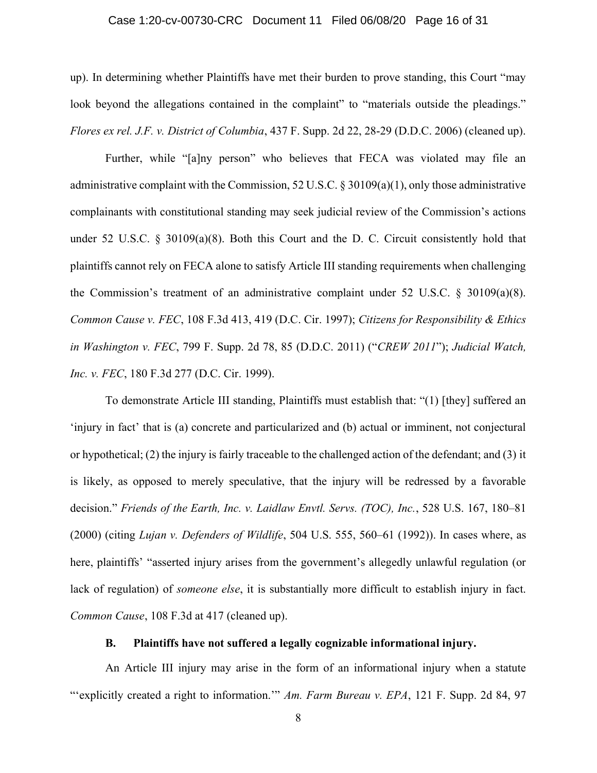## Case 1:20-cv-00730-CRC Document 11 Filed 06/08/20 Page 16 of 31

up). In determining whether Plaintiffs have met their burden to prove standing, this Court "may look beyond the allegations contained in the complaint" to "materials outside the pleadings." Flores ex rel. J.F. v. District of Columbia, 437 F. Supp. 2d 22, 28-29 (D.D.C. 2006) (cleaned up).

Further, while "[a]ny person" who believes that FECA was violated may file an administrative complaint with the Commission, 52 U.S.C. § 30109(a)(1), only those administrative complainants with constitutional standing may seek judicial review of the Commission's actions under 52 U.S.C. § 30109(a)(8). Both this Court and the D. C. Circuit consistently hold that plaintiffs cannot rely on FECA alone to satisfy Article III standing requirements when challenging the Commission's treatment of an administrative complaint under 52 U.S.C. § 30109(a)(8). Common Cause v. FEC, 108 F.3d 413, 419 (D.C. Cir. 1997); Citizens for Responsibility & Ethics in Washington v. FEC, 799 F. Supp. 2d 78, 85 (D.D.C. 2011) ("CREW 2011"); Judicial Watch, Inc. v. FEC, 180 F.3d 277 (D.C. Cir. 1999).

To demonstrate Article III standing, Plaintiffs must establish that: "(1) [they] suffered an 'injury in fact' that is (a) concrete and particularized and (b) actual or imminent, not conjectural or hypothetical; (2) the injury is fairly traceable to the challenged action of the defendant; and (3) it is likely, as opposed to merely speculative, that the injury will be redressed by a favorable decision." Friends of the Earth, Inc. v. Laidlaw Envtl. Servs. (TOC), Inc., 528 U.S. 167, 180–81 (2000) (citing Lujan v. Defenders of Wildlife, 504 U.S. 555, 560–61 (1992)). In cases where, as here, plaintiffs' "asserted injury arises from the government's allegedly unlawful regulation (or lack of regulation) of someone else, it is substantially more difficult to establish injury in fact. Common Cause, 108 F.3d at 417 (cleaned up).

## B. Plaintiffs have not suffered a legally cognizable informational injury.

An Article III injury may arise in the form of an informational injury when a statute "'explicitly created a right to information." Am. Farm Bureau v. EPA, 121 F. Supp. 2d 84, 97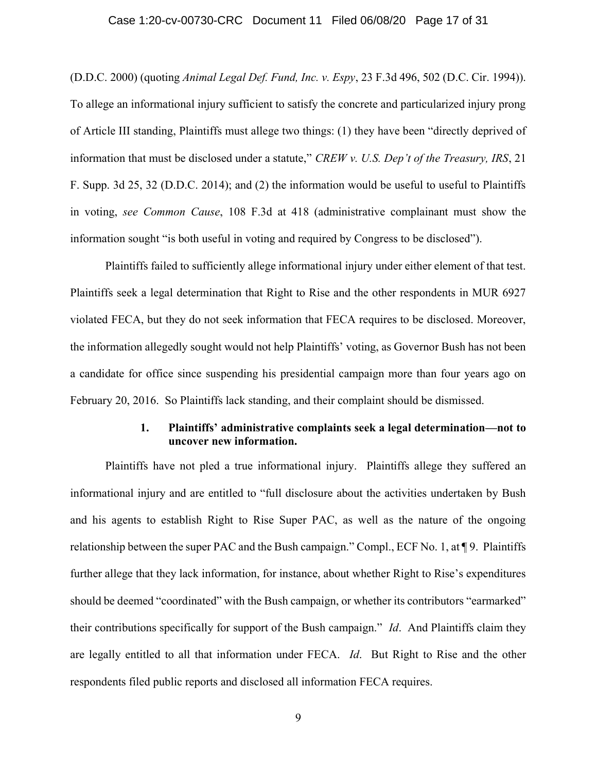## Case 1:20-cv-00730-CRC Document 11 Filed 06/08/20 Page 17 of 31

(D.D.C. 2000) (quoting Animal Legal Def. Fund, Inc. v. Espy, 23 F.3d 496, 502 (D.C. Cir. 1994)). To allege an informational injury sufficient to satisfy the concrete and particularized injury prong of Article III standing, Plaintiffs must allege two things: (1) they have been "directly deprived of information that must be disclosed under a statute," CREW v. U.S. Dep't of the Treasury, IRS, 21 F. Supp. 3d 25, 32 (D.D.C. 2014); and (2) the information would be useful to useful to Plaintiffs in voting, see Common Cause, 108 F.3d at 418 (administrative complainant must show the information sought "is both useful in voting and required by Congress to be disclosed").

Plaintiffs failed to sufficiently allege informational injury under either element of that test. Plaintiffs seek a legal determination that Right to Rise and the other respondents in MUR 6927 violated FECA, but they do not seek information that FECA requires to be disclosed. Moreover, the information allegedly sought would not help Plaintiffs' voting, as Governor Bush has not been a candidate for office since suspending his presidential campaign more than four years ago on February 20, 2016. So Plaintiffs lack standing, and their complaint should be dismissed.

## 1. Plaintiffs' administrative complaints seek a legal determination—not to uncover new information.

Plaintiffs have not pled a true informational injury. Plaintiffs allege they suffered an informational injury and are entitled to "full disclosure about the activities undertaken by Bush and his agents to establish Right to Rise Super PAC, as well as the nature of the ongoing relationship between the super PAC and the Bush campaign." Compl., ECF No. 1, at ¶ 9. Plaintiffs further allege that they lack information, for instance, about whether Right to Rise's expenditures should be deemed "coordinated" with the Bush campaign, or whether its contributors "earmarked" their contributions specifically for support of the Bush campaign." Id. And Plaintiffs claim they are legally entitled to all that information under FECA. Id. But Right to Rise and the other respondents filed public reports and disclosed all information FECA requires.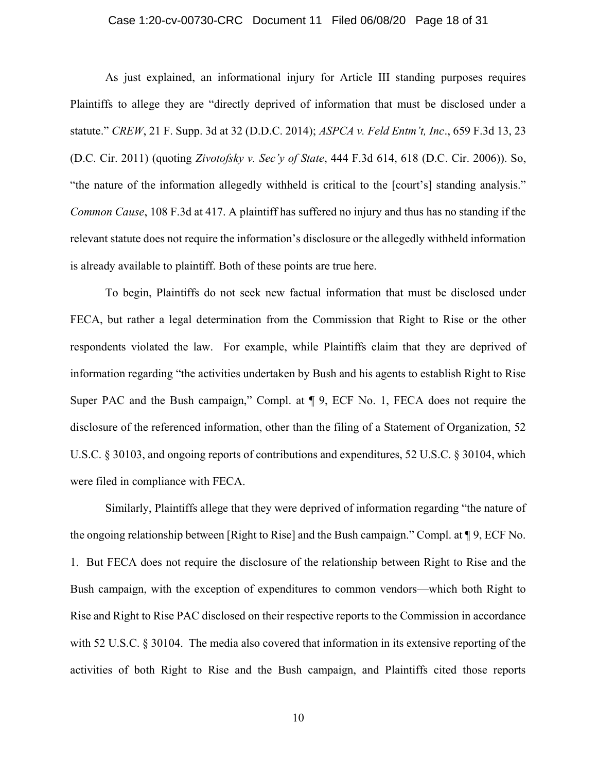## Case 1:20-cv-00730-CRC Document 11 Filed 06/08/20 Page 18 of 31

As just explained, an informational injury for Article III standing purposes requires Plaintiffs to allege they are "directly deprived of information that must be disclosed under a statute." CREW, 21 F. Supp. 3d at 32 (D.D.C. 2014); ASPCA v. Feld Entm't, Inc., 659 F.3d 13, 23 (D.C. Cir. 2011) (quoting Zivotofsky v. Sec'y of State, 444 F.3d 614, 618 (D.C. Cir. 2006)). So, "the nature of the information allegedly withheld is critical to the [court's] standing analysis." Common Cause, 108 F.3d at 417. A plaintiff has suffered no injury and thus has no standing if the relevant statute does not require the information's disclosure or the allegedly withheld information is already available to plaintiff. Both of these points are true here.

To begin, Plaintiffs do not seek new factual information that must be disclosed under FECA, but rather a legal determination from the Commission that Right to Rise or the other respondents violated the law. For example, while Plaintiffs claim that they are deprived of information regarding "the activities undertaken by Bush and his agents to establish Right to Rise Super PAC and the Bush campaign," Compl. at ¶ 9, ECF No. 1, FECA does not require the disclosure of the referenced information, other than the filing of a Statement of Organization, 52 U.S.C. § 30103, and ongoing reports of contributions and expenditures, 52 U.S.C. § 30104, which were filed in compliance with FECA.

Similarly, Plaintiffs allege that they were deprived of information regarding "the nature of the ongoing relationship between [Right to Rise] and the Bush campaign." Compl. at ¶ 9, ECF No. 1. But FECA does not require the disclosure of the relationship between Right to Rise and the Bush campaign, with the exception of expenditures to common vendors—which both Right to Rise and Right to Rise PAC disclosed on their respective reports to the Commission in accordance with 52 U.S.C. § 30104. The media also covered that information in its extensive reporting of the activities of both Right to Rise and the Bush campaign, and Plaintiffs cited those reports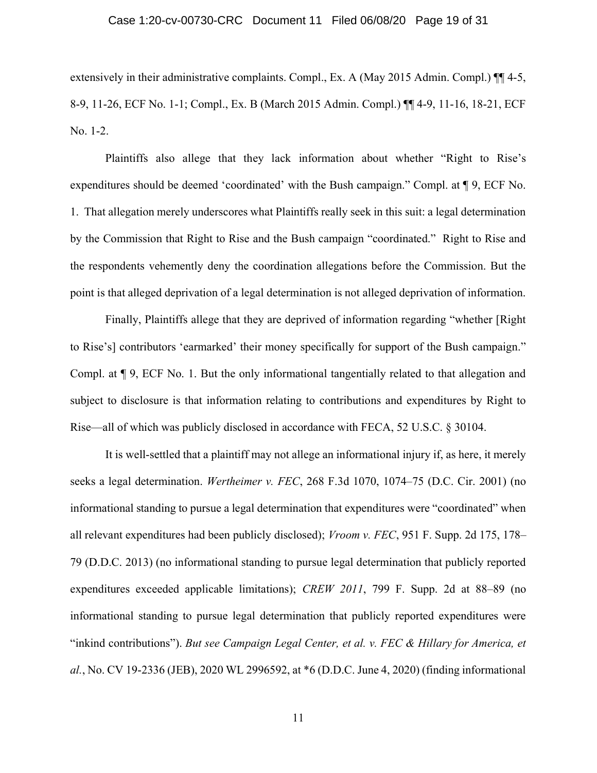## Case 1:20-cv-00730-CRC Document 11 Filed 06/08/20 Page 19 of 31

extensively in their administrative complaints. Compl., Ex. A (May 2015 Admin. Compl.)  $\P\P$  4-5, 8-9, 11-26, ECF No. 1-1; Compl., Ex. B (March 2015 Admin. Compl.) ¶¶ 4-9, 11-16, 18-21, ECF No. 1-2.

Plaintiffs also allege that they lack information about whether "Right to Rise's expenditures should be deemed 'coordinated' with the Bush campaign." Compl. at ¶ 9, ECF No. 1. That allegation merely underscores what Plaintiffs really seek in this suit: a legal determination by the Commission that Right to Rise and the Bush campaign "coordinated." Right to Rise and the respondents vehemently deny the coordination allegations before the Commission. But the point is that alleged deprivation of a legal determination is not alleged deprivation of information.

Finally, Plaintiffs allege that they are deprived of information regarding "whether [Right to Rise's] contributors 'earmarked' their money specifically for support of the Bush campaign." Compl. at ¶ 9, ECF No. 1. But the only informational tangentially related to that allegation and subject to disclosure is that information relating to contributions and expenditures by Right to Rise—all of which was publicly disclosed in accordance with FECA, 52 U.S.C. § 30104.

It is well-settled that a plaintiff may not allege an informational injury if, as here, it merely seeks a legal determination. Wertheimer v. FEC, 268 F.3d 1070, 1074–75 (D.C. Cir. 2001) (no informational standing to pursue a legal determination that expenditures were "coordinated" when all relevant expenditures had been publicly disclosed); Vroom v. FEC, 951 F. Supp. 2d 175, 178– 79 (D.D.C. 2013) (no informational standing to pursue legal determination that publicly reported expenditures exceeded applicable limitations); CREW 2011, 799 F. Supp. 2d at 88–89 (no informational standing to pursue legal determination that publicly reported expenditures were "inkind contributions"). But see Campaign Legal Center, et al. v. FEC & Hillary for America, et al., No. CV 19-2336 (JEB), 2020 WL 2996592, at \*6 (D.D.C. June 4, 2020) (finding informational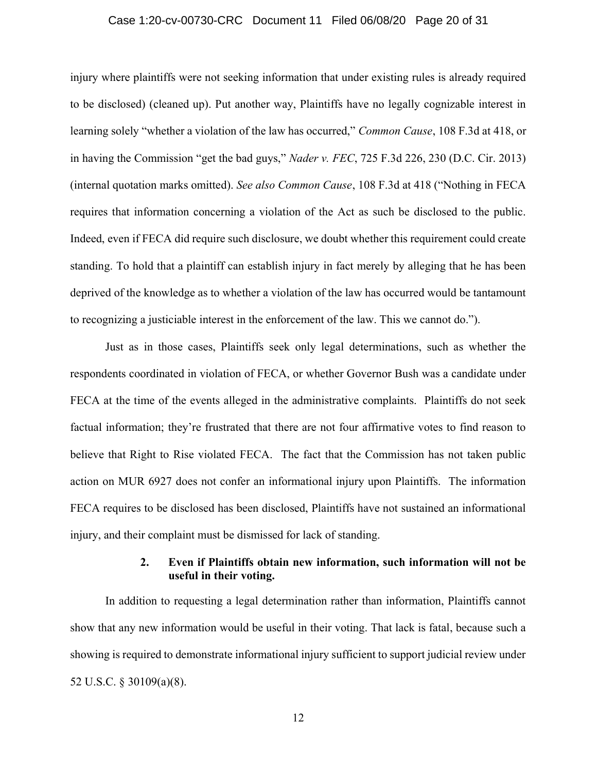## Case 1:20-cv-00730-CRC Document 11 Filed 06/08/20 Page 20 of 31

injury where plaintiffs were not seeking information that under existing rules is already required to be disclosed) (cleaned up). Put another way, Plaintiffs have no legally cognizable interest in learning solely "whether a violation of the law has occurred," Common Cause, 108 F.3d at 418, or in having the Commission "get the bad guys," Nader v. FEC, 725 F.3d 226, 230 (D.C. Cir. 2013) (internal quotation marks omitted). See also Common Cause, 108 F.3d at 418 ("Nothing in FECA requires that information concerning a violation of the Act as such be disclosed to the public. Indeed, even if FECA did require such disclosure, we doubt whether this requirement could create standing. To hold that a plaintiff can establish injury in fact merely by alleging that he has been deprived of the knowledge as to whether a violation of the law has occurred would be tantamount to recognizing a justiciable interest in the enforcement of the law. This we cannot do.").

Just as in those cases, Plaintiffs seek only legal determinations, such as whether the respondents coordinated in violation of FECA, or whether Governor Bush was a candidate under FECA at the time of the events alleged in the administrative complaints. Plaintiffs do not seek factual information; they're frustrated that there are not four affirmative votes to find reason to believe that Right to Rise violated FECA. The fact that the Commission has not taken public action on MUR 6927 does not confer an informational injury upon Plaintiffs. The information FECA requires to be disclosed has been disclosed, Plaintiffs have not sustained an informational injury, and their complaint must be dismissed for lack of standing.

## 2. Even if Plaintiffs obtain new information, such information will not be useful in their voting.

In addition to requesting a legal determination rather than information, Plaintiffs cannot show that any new information would be useful in their voting. That lack is fatal, because such a showing is required to demonstrate informational injury sufficient to support judicial review under 52 U.S.C. § 30109(a)(8).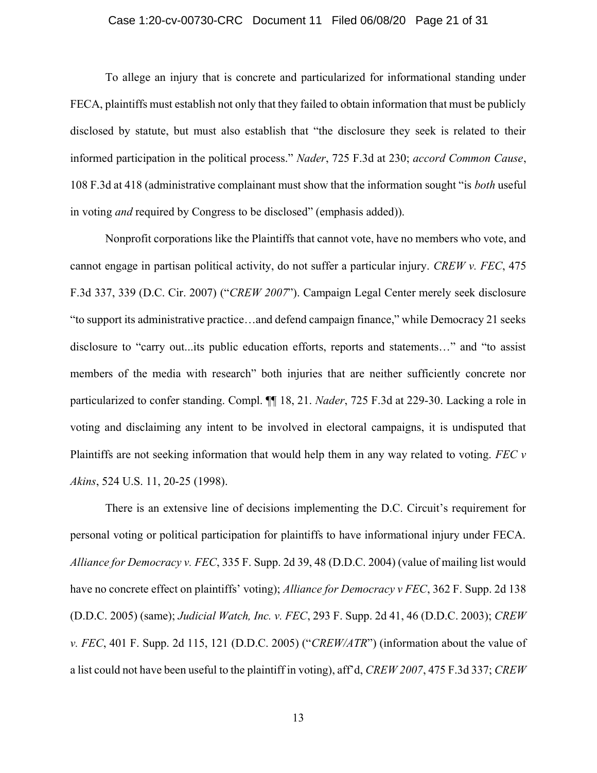## Case 1:20-cv-00730-CRC Document 11 Filed 06/08/20 Page 21 of 31

To allege an injury that is concrete and particularized for informational standing under FECA, plaintiffs must establish not only that they failed to obtain information that must be publicly disclosed by statute, but must also establish that "the disclosure they seek is related to their informed participation in the political process." Nader, 725 F.3d at 230; accord Common Cause, 108 F.3d at 418 (administrative complainant must show that the information sought "is both useful in voting and required by Congress to be disclosed" (emphasis added)).

Nonprofit corporations like the Plaintiffs that cannot vote, have no members who vote, and cannot engage in partisan political activity, do not suffer a particular injury. CREW v. FEC, 475 F.3d 337, 339 (D.C. Cir. 2007) ("CREW 2007"). Campaign Legal Center merely seek disclosure "to support its administrative practice…and defend campaign finance," while Democracy 21 seeks disclosure to "carry out...its public education efforts, reports and statements…" and "to assist members of the media with research" both injuries that are neither sufficiently concrete nor particularized to confer standing. Compl.  $\P\P$  18, 21. *Nader*, 725 F.3d at 229-30. Lacking a role in voting and disclaiming any intent to be involved in electoral campaigns, it is undisputed that Plaintiffs are not seeking information that would help them in any way related to voting. FEC  $\nu$ Akins, 524 U.S. 11, 20-25 (1998).

There is an extensive line of decisions implementing the D.C. Circuit's requirement for personal voting or political participation for plaintiffs to have informational injury under FECA. Alliance for Democracy v. FEC, 335 F. Supp. 2d 39, 48 (D.D.C. 2004) (value of mailing list would have no concrete effect on plaintiffs' voting); Alliance for Democracy v FEC, 362 F. Supp. 2d 138 (D.D.C. 2005) (same); Judicial Watch, Inc. v. FEC, 293 F. Supp. 2d 41, 46 (D.D.C. 2003); CREW v. FEC, 401 F. Supp. 2d 115, 121 (D.D.C. 2005) ("CREW/ATR") (information about the value of a list could not have been useful to the plaintiff in voting), aff'd, CREW 2007, 475 F.3d 337; CREW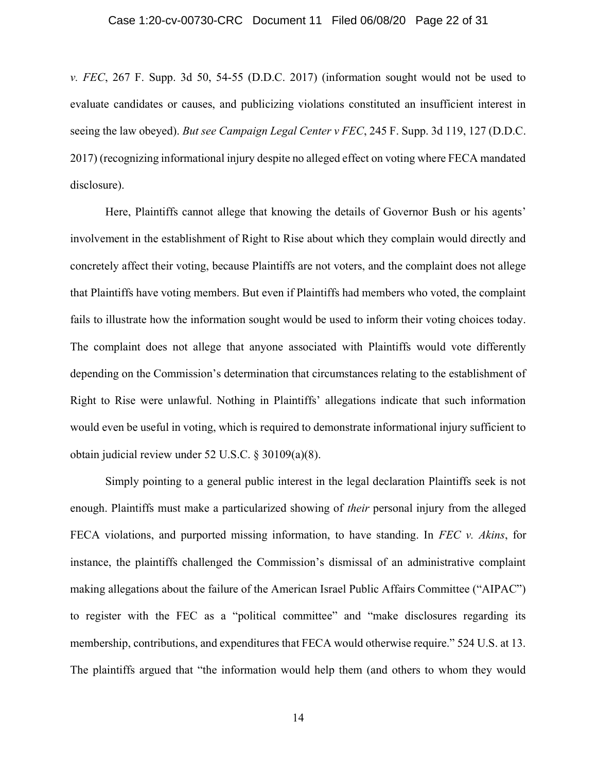## Case 1:20-cv-00730-CRC Document 11 Filed 06/08/20 Page 22 of 31

v. FEC, 267 F. Supp. 3d 50, 54-55 (D.D.C. 2017) (information sought would not be used to evaluate candidates or causes, and publicizing violations constituted an insufficient interest in seeing the law obeyed). But see Campaign Legal Center  $v$  FEC, 245 F. Supp. 3d 119, 127 (D.D.C. 2017) (recognizing informational injury despite no alleged effect on voting where FECA mandated disclosure).

Here, Plaintiffs cannot allege that knowing the details of Governor Bush or his agents' involvement in the establishment of Right to Rise about which they complain would directly and concretely affect their voting, because Plaintiffs are not voters, and the complaint does not allege that Plaintiffs have voting members. But even if Plaintiffs had members who voted, the complaint fails to illustrate how the information sought would be used to inform their voting choices today. The complaint does not allege that anyone associated with Plaintiffs would vote differently depending on the Commission's determination that circumstances relating to the establishment of Right to Rise were unlawful. Nothing in Plaintiffs' allegations indicate that such information would even be useful in voting, which is required to demonstrate informational injury sufficient to obtain judicial review under 52 U.S.C. § 30109(a)(8).

Simply pointing to a general public interest in the legal declaration Plaintiffs seek is not enough. Plaintiffs must make a particularized showing of *their* personal injury from the alleged FECA violations, and purported missing information, to have standing. In FEC  $\nu$ . Akins, for instance, the plaintiffs challenged the Commission's dismissal of an administrative complaint making allegations about the failure of the American Israel Public Affairs Committee ("AIPAC") to register with the FEC as a "political committee" and "make disclosures regarding its membership, contributions, and expenditures that FECA would otherwise require." 524 U.S. at 13. The plaintiffs argued that "the information would help them (and others to whom they would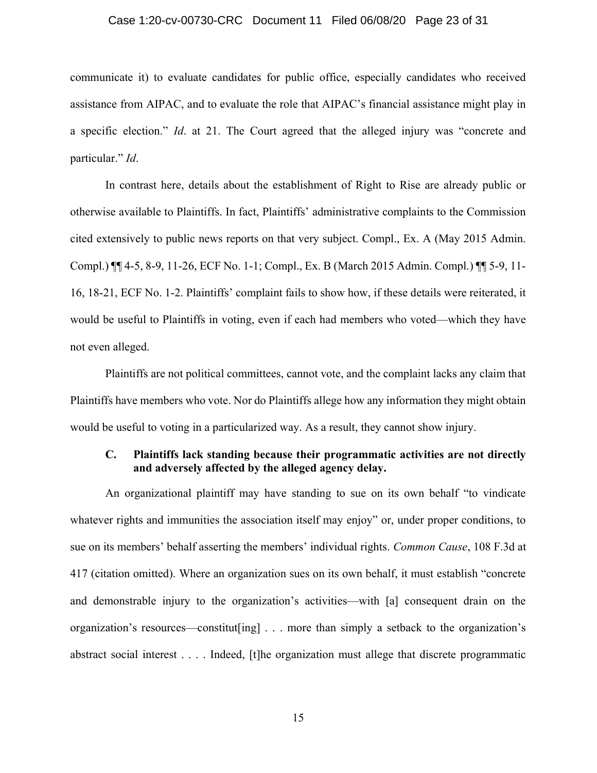## Case 1:20-cv-00730-CRC Document 11 Filed 06/08/20 Page 23 of 31

communicate it) to evaluate candidates for public office, especially candidates who received assistance from AIPAC, and to evaluate the role that AIPAC's financial assistance might play in a specific election." Id. at 21. The Court agreed that the alleged injury was "concrete and particular." Id.

In contrast here, details about the establishment of Right to Rise are already public or otherwise available to Plaintiffs. In fact, Plaintiffs' administrative complaints to the Commission cited extensively to public news reports on that very subject. Compl., Ex. A (May 2015 Admin. Compl.) ¶¶ 4-5, 8-9, 11-26, ECF No. 1-1; Compl., Ex. B (March 2015 Admin. Compl.) ¶¶ 5-9, 11- 16, 18-21, ECF No. 1-2. Plaintiffs' complaint fails to show how, if these details were reiterated, it would be useful to Plaintiffs in voting, even if each had members who voted—which they have not even alleged.

Plaintiffs are not political committees, cannot vote, and the complaint lacks any claim that Plaintiffs have members who vote. Nor do Plaintiffs allege how any information they might obtain would be useful to voting in a particularized way. As a result, they cannot show injury.

## C. Plaintiffs lack standing because their programmatic activities are not directly and adversely affected by the alleged agency delay.

An organizational plaintiff may have standing to sue on its own behalf "to vindicate whatever rights and immunities the association itself may enjoy" or, under proper conditions, to sue on its members' behalf asserting the members' individual rights. Common Cause, 108 F.3d at 417 (citation omitted). Where an organization sues on its own behalf, it must establish "concrete and demonstrable injury to the organization's activities—with [a] consequent drain on the organization's resources—constitut[ing] . . . more than simply a setback to the organization's abstract social interest . . . . Indeed, [t]he organization must allege that discrete programmatic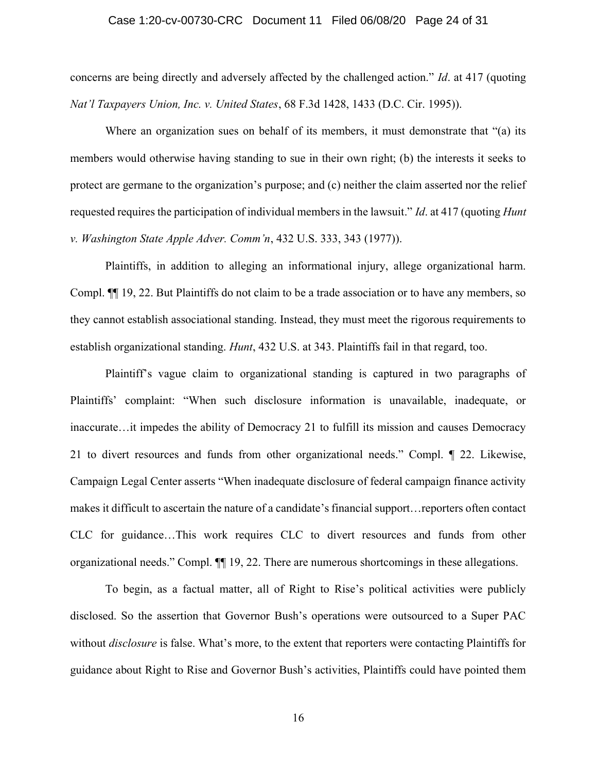## Case 1:20-cv-00730-CRC Document 11 Filed 06/08/20 Page 24 of 31

concerns are being directly and adversely affected by the challenged action." Id. at 417 (quoting Nat'l Taxpayers Union, Inc. v. United States, 68 F.3d 1428, 1433 (D.C. Cir. 1995)).

Where an organization sues on behalf of its members, it must demonstrate that "(a) its members would otherwise having standing to sue in their own right; (b) the interests it seeks to protect are germane to the organization's purpose; and (c) neither the claim asserted nor the relief requested requires the participation of individual members in the lawsuit." Id. at 417 (quoting Hunt v. Washington State Apple Adver. Comm'n, 432 U.S. 333, 343 (1977)).

Plaintiffs, in addition to alleging an informational injury, allege organizational harm. Compl. ¶¶ 19, 22. But Plaintiffs do not claim to be a trade association or to have any members, so they cannot establish associational standing. Instead, they must meet the rigorous requirements to establish organizational standing. Hunt, 432 U.S. at 343. Plaintiffs fail in that regard, too.

Plaintiff's vague claim to organizational standing is captured in two paragraphs of Plaintiffs' complaint: "When such disclosure information is unavailable, inadequate, or inaccurate…it impedes the ability of Democracy 21 to fulfill its mission and causes Democracy 21 to divert resources and funds from other organizational needs." Compl. ¶ 22. Likewise, Campaign Legal Center asserts "When inadequate disclosure of federal campaign finance activity makes it difficult to ascertain the nature of a candidate's financial support…reporters often contact CLC for guidance…This work requires CLC to divert resources and funds from other organizational needs." Compl. ¶¶ 19, 22. There are numerous shortcomings in these allegations.

To begin, as a factual matter, all of Right to Rise's political activities were publicly disclosed. So the assertion that Governor Bush's operations were outsourced to a Super PAC without *disclosure* is false. What's more, to the extent that reporters were contacting Plaintiffs for guidance about Right to Rise and Governor Bush's activities, Plaintiffs could have pointed them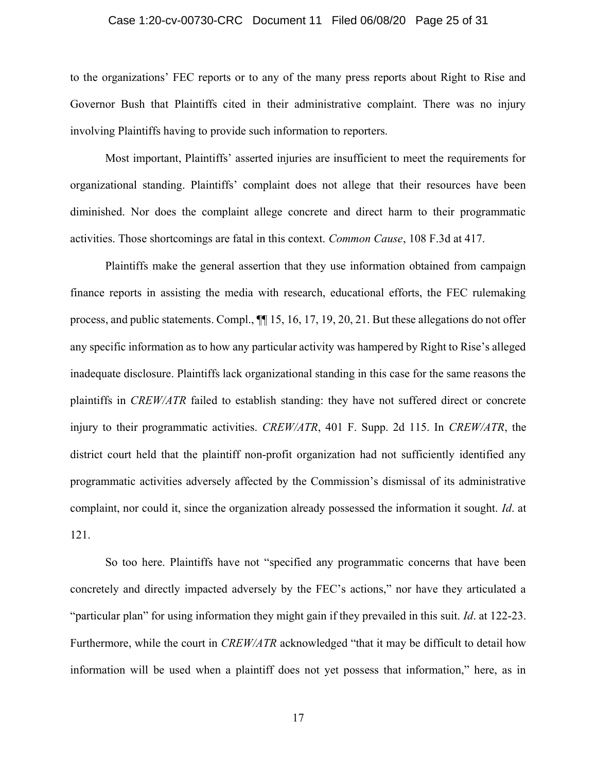## Case 1:20-cv-00730-CRC Document 11 Filed 06/08/20 Page 25 of 31

to the organizations' FEC reports or to any of the many press reports about Right to Rise and Governor Bush that Plaintiffs cited in their administrative complaint. There was no injury involving Plaintiffs having to provide such information to reporters.

Most important, Plaintiffs' asserted injuries are insufficient to meet the requirements for organizational standing. Plaintiffs' complaint does not allege that their resources have been diminished. Nor does the complaint allege concrete and direct harm to their programmatic activities. Those shortcomings are fatal in this context. Common Cause, 108 F.3d at 417.

Plaintiffs make the general assertion that they use information obtained from campaign finance reports in assisting the media with research, educational efforts, the FEC rulemaking process, and public statements. Compl., ¶¶ 15, 16, 17, 19, 20, 21. But these allegations do not offer any specific information as to how any particular activity was hampered by Right to Rise's alleged inadequate disclosure. Plaintiffs lack organizational standing in this case for the same reasons the plaintiffs in CREW/ATR failed to establish standing: they have not suffered direct or concrete injury to their programmatic activities. *CREW/ATR*, 401 F. Supp. 2d 115. In *CREW/ATR*, the district court held that the plaintiff non-profit organization had not sufficiently identified any programmatic activities adversely affected by the Commission's dismissal of its administrative complaint, nor could it, since the organization already possessed the information it sought. Id. at 121.

So too here. Plaintiffs have not "specified any programmatic concerns that have been concretely and directly impacted adversely by the FEC's actions," nor have they articulated a "particular plan" for using information they might gain if they prevailed in this suit. Id. at 122-23. Furthermore, while the court in *CREW/ATR* acknowledged "that it may be difficult to detail how information will be used when a plaintiff does not yet possess that information," here, as in

17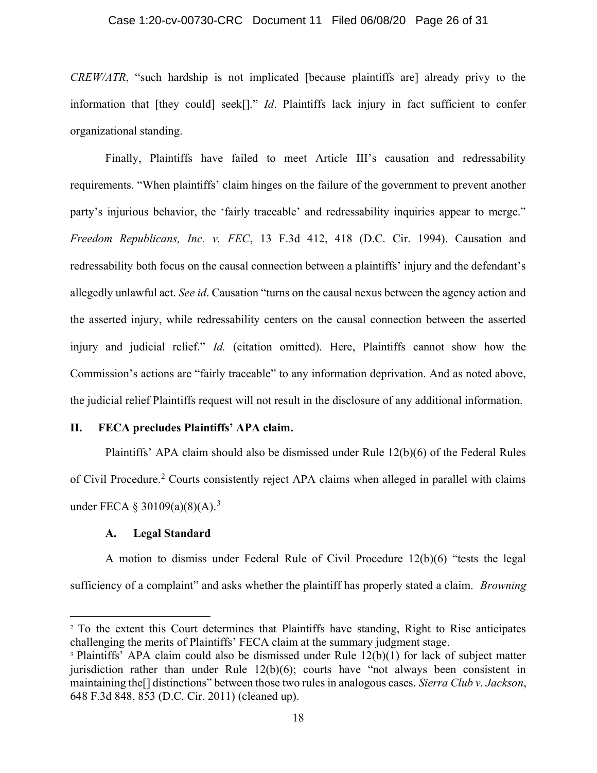## Case 1:20-cv-00730-CRC Document 11 Filed 06/08/20 Page 26 of 31

CREW/ATR, "such hardship is not implicated [because plaintiffs are] already privy to the information that [they could] seek[]." *Id*. Plaintiffs lack injury in fact sufficient to confer organizational standing.

Finally, Plaintiffs have failed to meet Article III's causation and redressability requirements. "When plaintiffs' claim hinges on the failure of the government to prevent another party's injurious behavior, the 'fairly traceable' and redressability inquiries appear to merge." Freedom Republicans, Inc. v. FEC, 13 F.3d 412, 418 (D.C. Cir. 1994). Causation and redressability both focus on the causal connection between a plaintiffs' injury and the defendant's allegedly unlawful act. See id. Causation "turns on the causal nexus between the agency action and the asserted injury, while redressability centers on the causal connection between the asserted injury and judicial relief." Id. (citation omitted). Here, Plaintiffs cannot show how the Commission's actions are "fairly traceable" to any information deprivation. And as noted above, the judicial relief Plaintiffs request will not result in the disclosure of any additional information.

## II. FECA precludes Plaintiffs' APA claim.

Plaintiffs' APA claim should also be dismissed under Rule 12(b)(6) of the Federal Rules of Civil Procedure.<sup>2</sup> Courts consistently reject APA claims when alleged in parallel with claims under FECA § 30109(a)(8)(A).<sup>3</sup>

## A. Legal Standard

A motion to dismiss under Federal Rule of Civil Procedure 12(b)(6) "tests the legal sufficiency of a complaint" and asks whether the plaintiff has properly stated a claim. *Browning* 

<sup>&</sup>lt;sup>2</sup> To the extent this Court determines that Plaintiffs have standing, Right to Rise anticipates challenging the merits of Plaintiffs' FECA claim at the summary judgment stage.

<sup>&</sup>lt;sup>3</sup> Plaintiffs' APA claim could also be dismissed under Rule 12(b)(1) for lack of subject matter jurisdiction rather than under Rule 12(b)(6); courts have "not always been consistent in maintaining the<sup>[]</sup> distinctions" between those two rules in analogous cases. Sierra Club v. Jackson, 648 F.3d 848, 853 (D.C. Cir. 2011) (cleaned up).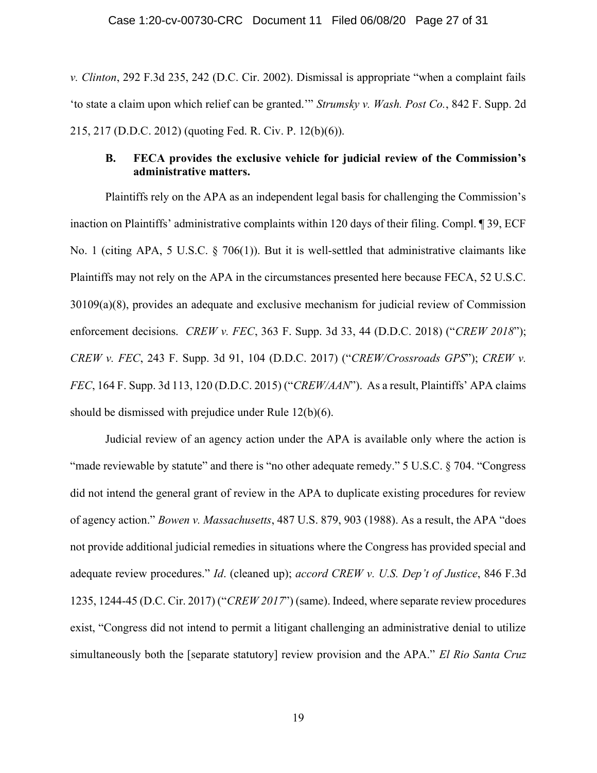v. Clinton, 292 F.3d 235, 242 (D.C. Cir. 2002). Dismissal is appropriate "when a complaint fails 'to state a claim upon which relief can be granted.'" Strumsky v. Wash. Post Co., 842 F. Supp. 2d 215, 217 (D.D.C. 2012) (quoting Fed. R. Civ. P. 12(b)(6)).

## B. FECA provides the exclusive vehicle for judicial review of the Commission's administrative matters.

Plaintiffs rely on the APA as an independent legal basis for challenging the Commission's inaction on Plaintiffs' administrative complaints within 120 days of their filing. Compl. ¶ 39, ECF No. 1 (citing APA, 5 U.S.C. § 706(1)). But it is well-settled that administrative claimants like Plaintiffs may not rely on the APA in the circumstances presented here because FECA, 52 U.S.C. 30109(a)(8), provides an adequate and exclusive mechanism for judicial review of Commission enforcement decisions. *CREW v. FEC*, 363 F. Supp. 3d 33, 44 (D.D.C. 2018) ("*CREW 2018*"); CREW v. FEC, 243 F. Supp. 3d 91, 104 (D.D.C. 2017) ("CREW/Crossroads GPS"); CREW v. FEC, 164 F. Supp. 3d 113, 120 (D.D.C. 2015) ("CREW/AAN"). As a result, Plaintiffs' APA claims should be dismissed with prejudice under Rule 12(b)(6).

Judicial review of an agency action under the APA is available only where the action is "made reviewable by statute" and there is "no other adequate remedy." 5 U.S.C. § 704. "Congress did not intend the general grant of review in the APA to duplicate existing procedures for review of agency action." Bowen v. Massachusetts, 487 U.S. 879, 903 (1988). As a result, the APA "does not provide additional judicial remedies in situations where the Congress has provided special and adequate review procedures." Id. (cleaned up); accord CREW v. U.S. Dep't of Justice, 846 F.3d 1235, 1244-45 (D.C. Cir. 2017) ("CREW 2017") (same). Indeed, where separate review procedures exist, "Congress did not intend to permit a litigant challenging an administrative denial to utilize simultaneously both the [separate statutory] review provision and the APA." El Rio Santa Cruz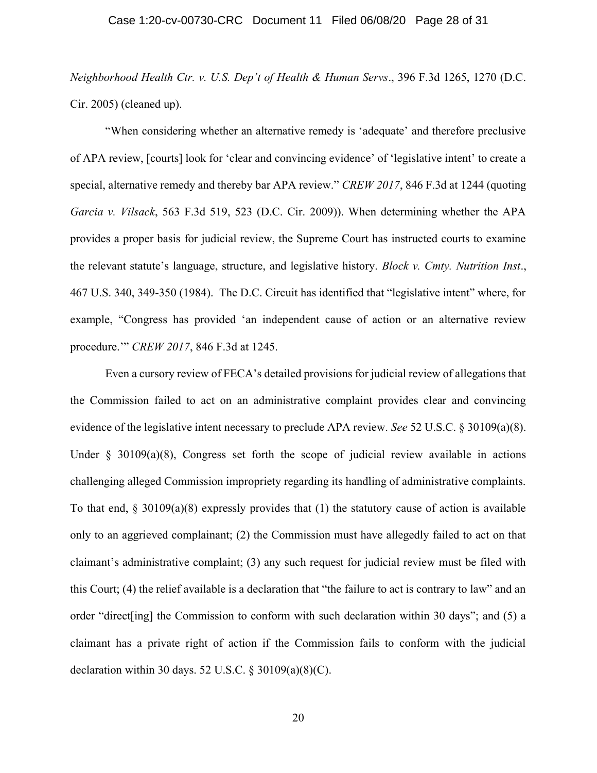Neighborhood Health Ctr. v. U.S. Dep't of Health & Human Servs., 396 F.3d 1265, 1270 (D.C. Cir. 2005) (cleaned up).

"When considering whether an alternative remedy is 'adequate' and therefore preclusive of APA review, [courts] look for 'clear and convincing evidence' of 'legislative intent' to create a special, alternative remedy and thereby bar APA review." CREW 2017, 846 F.3d at 1244 (quoting Garcia v. Vilsack, 563 F.3d 519, 523 (D.C. Cir. 2009)). When determining whether the APA provides a proper basis for judicial review, the Supreme Court has instructed courts to examine the relevant statute's language, structure, and legislative history. Block v. Cmty. Nutrition Inst., 467 U.S. 340, 349-350 (1984). The D.C. Circuit has identified that "legislative intent" where, for example, "Congress has provided 'an independent cause of action or an alternative review procedure.'" CREW 2017, 846 F.3d at 1245.

Even a cursory review of FECA's detailed provisions for judicial review of allegations that the Commission failed to act on an administrative complaint provides clear and convincing evidence of the legislative intent necessary to preclude APA review. See 52 U.S.C. § 30109(a)(8). Under  $\S$  30109(a)(8), Congress set forth the scope of judicial review available in actions challenging alleged Commission impropriety regarding its handling of administrative complaints. To that end,  $\S 30109(a)(8)$  expressly provides that (1) the statutory cause of action is available only to an aggrieved complainant; (2) the Commission must have allegedly failed to act on that claimant's administrative complaint; (3) any such request for judicial review must be filed with this Court; (4) the relief available is a declaration that "the failure to act is contrary to law" and an order "direct[ing] the Commission to conform with such declaration within 30 days"; and (5) a claimant has a private right of action if the Commission fails to conform with the judicial declaration within 30 days. 52 U.S.C.  $\S 30109(a)(8)(C)$ .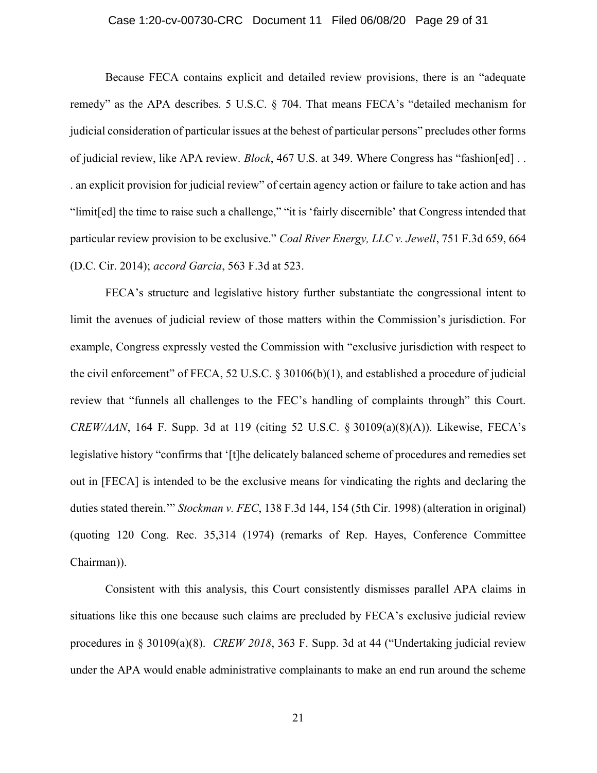## Case 1:20-cv-00730-CRC Document 11 Filed 06/08/20 Page 29 of 31

Because FECA contains explicit and detailed review provisions, there is an "adequate remedy" as the APA describes. 5 U.S.C. § 704. That means FECA's "detailed mechanism for judicial consideration of particular issues at the behest of particular persons" precludes other forms of judicial review, like APA review. *Block*, 467 U.S. at 349. Where Congress has "fashion[ed] . . . an explicit provision for judicial review" of certain agency action or failure to take action and has "limit[ed] the time to raise such a challenge," "it is 'fairly discernible' that Congress intended that particular review provision to be exclusive." Coal River Energy, LLC v. Jewell, 751 F.3d 659, 664 (D.C. Cir. 2014); accord Garcia, 563 F.3d at 523.

FECA's structure and legislative history further substantiate the congressional intent to limit the avenues of judicial review of those matters within the Commission's jurisdiction. For example, Congress expressly vested the Commission with "exclusive jurisdiction with respect to the civil enforcement" of FECA, 52 U.S.C. § 30106(b)(1), and established a procedure of judicial review that "funnels all challenges to the FEC's handling of complaints through" this Court. CREW/AAN, 164 F. Supp. 3d at 119 (citing 52 U.S.C. § 30109(a)(8)(A)). Likewise, FECA's legislative history "confirms that '[t]he delicately balanced scheme of procedures and remedies set out in [FECA] is intended to be the exclusive means for vindicating the rights and declaring the duties stated therein.'" Stockman v. FEC, 138 F.3d 144, 154 (5th Cir. 1998) (alteration in original) (quoting 120 Cong. Rec. 35,314 (1974) (remarks of Rep. Hayes, Conference Committee Chairman)).

Consistent with this analysis, this Court consistently dismisses parallel APA claims in situations like this one because such claims are precluded by FECA's exclusive judicial review procedures in § 30109(a)(8). CREW 2018, 363 F. Supp. 3d at 44 ("Undertaking judicial review under the APA would enable administrative complainants to make an end run around the scheme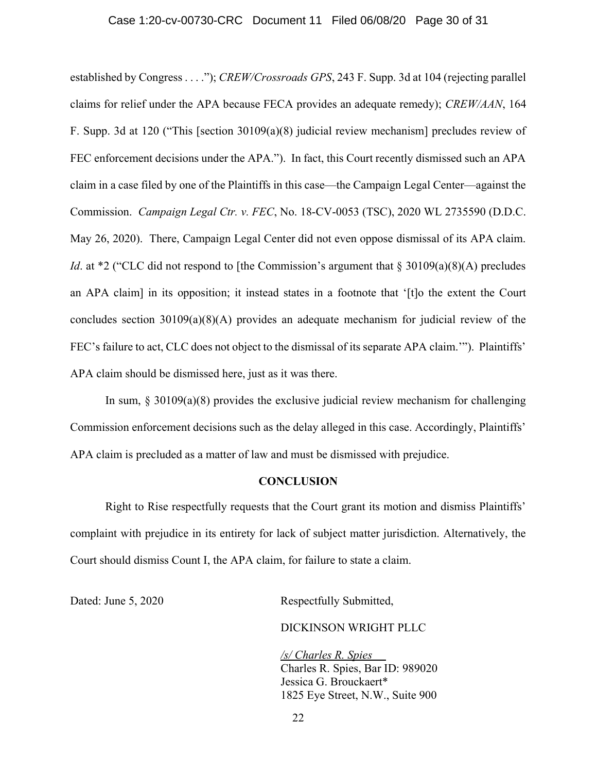## Case 1:20-cv-00730-CRC Document 11 Filed 06/08/20 Page 30 of 31

established by Congress . . . ."); CREW/Crossroads GPS, 243 F. Supp. 3d at 104 (rejecting parallel claims for relief under the APA because FECA provides an adequate remedy); CREW/AAN, 164 F. Supp. 3d at 120 ("This [section 30109(a)(8) judicial review mechanism] precludes review of FEC enforcement decisions under the APA."). In fact, this Court recently dismissed such an APA claim in a case filed by one of the Plaintiffs in this case—the Campaign Legal Center—against the Commission. Campaign Legal Ctr. v. FEC, No. 18-CV-0053 (TSC), 2020 WL 2735590 (D.D.C. May 26, 2020). There, Campaign Legal Center did not even oppose dismissal of its APA claim. *Id.* at \*2 ("CLC did not respond to [the Commission's argument that  $\S 30109(a)(8)(A)$  precludes an APA claim] in its opposition; it instead states in a footnote that '[t]o the extent the Court concludes section 30109(a)(8)(A) provides an adequate mechanism for judicial review of the FEC's failure to act, CLC does not object to the dismissal of its separate APA claim.'"). Plaintiffs' APA claim should be dismissed here, just as it was there.

In sum,  $\S$  30109(a)(8) provides the exclusive judicial review mechanism for challenging Commission enforcement decisions such as the delay alleged in this case. Accordingly, Plaintiffs' APA claim is precluded as a matter of law and must be dismissed with prejudice.

#### **CONCLUSION**

Right to Rise respectfully requests that the Court grant its motion and dismiss Plaintiffs' complaint with prejudice in its entirety for lack of subject matter jurisdiction. Alternatively, the Court should dismiss Count I, the APA claim, for failure to state a claim.

Dated: June 5, 2020 Respectfully Submitted,

DICKINSON WRIGHT PLLC

/s/ Charles R. Spies Charles R. Spies, Bar ID: 989020 Jessica G. Brouckaert\* 1825 Eye Street, N.W., Suite 900